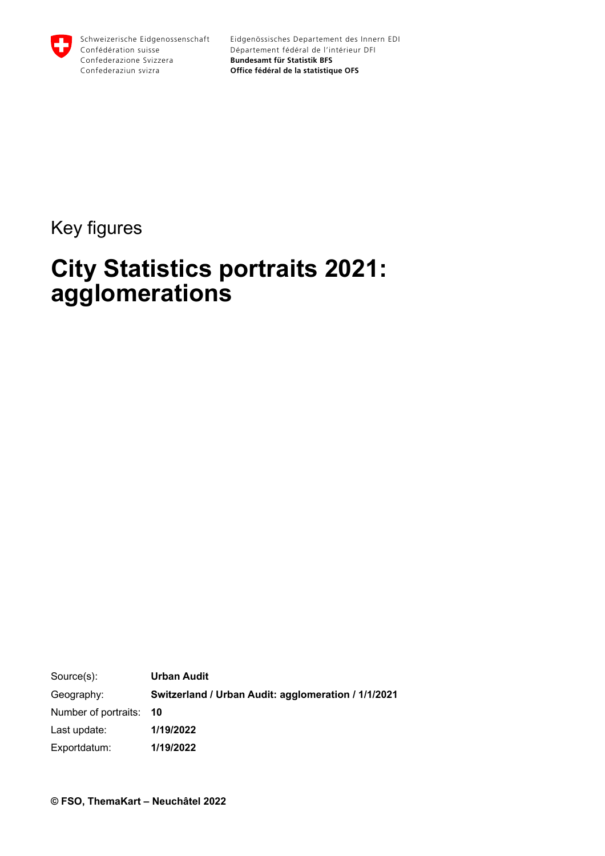

### Key figures

# **City Statistics portraits 2021: agglomerations**

Source(s): Geography: Number of portraits: Last update: Exportdatum: **Urban Audit Switzerland / Urban Audit: agglomeration / 1/1/2021 10 1/19/2022 1/19/2022**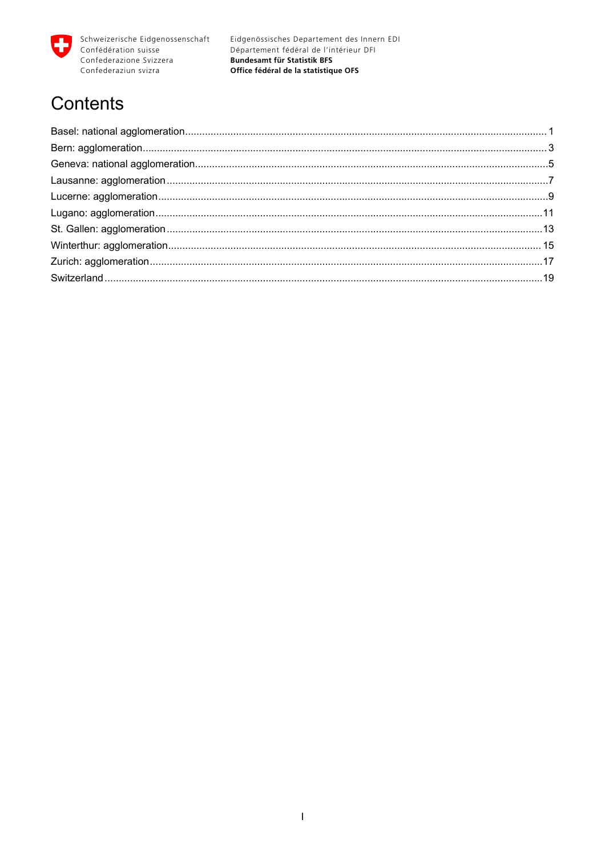

## **Contents**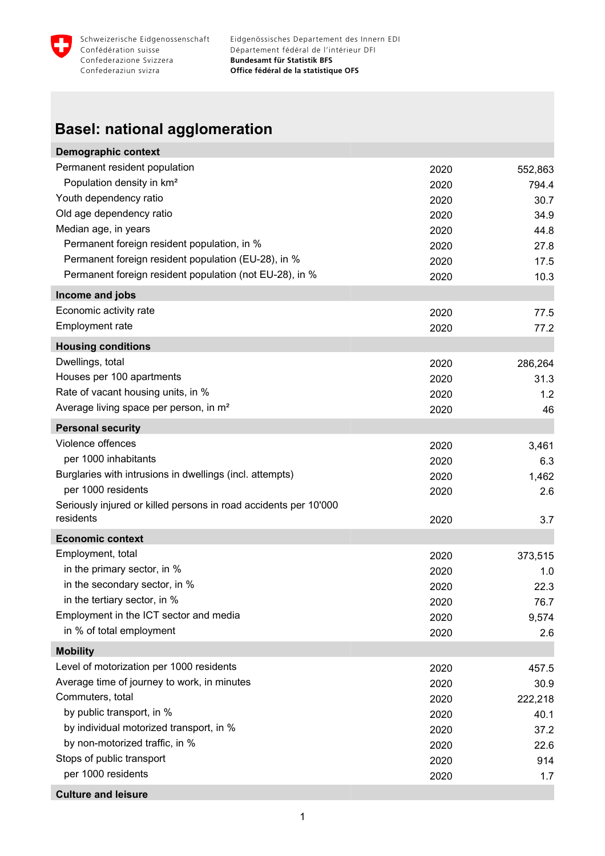<span id="page-2-0"></span>

#### **Basel: national agglomeration**

| Demographic context                                              |      |         |
|------------------------------------------------------------------|------|---------|
| Permanent resident population                                    | 2020 | 552,863 |
| Population density in km <sup>2</sup>                            | 2020 | 794.4   |
| Youth dependency ratio                                           | 2020 | 30.7    |
| Old age dependency ratio                                         | 2020 | 34.9    |
| Median age, in years                                             | 2020 | 44.8    |
| Permanent foreign resident population, in %                      | 2020 | 27.8    |
| Permanent foreign resident population (EU-28), in %              | 2020 | 17.5    |
| Permanent foreign resident population (not EU-28), in %          | 2020 | 10.3    |
| Income and jobs                                                  |      |         |
| Economic activity rate                                           | 2020 | 77.5    |
| Employment rate                                                  | 2020 | 77.2    |
| <b>Housing conditions</b>                                        |      |         |
| Dwellings, total                                                 | 2020 | 286,264 |
| Houses per 100 apartments                                        | 2020 | 31.3    |
| Rate of vacant housing units, in %                               | 2020 | 1.2     |
| Average living space per person, in m <sup>2</sup>               | 2020 | 46      |
| <b>Personal security</b>                                         |      |         |
| Violence offences                                                | 2020 | 3,461   |
| per 1000 inhabitants                                             | 2020 | 6.3     |
| Burglaries with intrusions in dwellings (incl. attempts)         | 2020 | 1,462   |
| per 1000 residents                                               | 2020 | 2.6     |
| Seriously injured or killed persons in road accidents per 10'000 |      |         |
| residents                                                        | 2020 | 3.7     |
| <b>Economic context</b>                                          |      |         |
| Employment, total                                                | 2020 | 373,515 |
| in the primary sector, in %                                      | 2020 | 1.0     |
| in the secondary sector, in %                                    | 2020 | 22.3    |
| in the tertiary sector, in %                                     | 2020 | 76.7    |
| Employment in the ICT sector and media                           | 2020 | 9,574   |
| in % of total employment                                         | 2020 | 2.6     |
| <b>Mobility</b>                                                  |      |         |
| Level of motorization per 1000 residents                         | 2020 | 457.5   |
| Average time of journey to work, in minutes                      | 2020 | 30.9    |
| Commuters, total                                                 | 2020 | 222,218 |
| by public transport, in %                                        | 2020 | 40.1    |
| by individual motorized transport, in %                          | 2020 | 37.2    |
| by non-motorized traffic, in %                                   | 2020 | 22.6    |
| Stops of public transport                                        | 2020 | 914     |
| per 1000 residents                                               | 2020 | 1.7     |
| <b>Culture and leisure</b>                                       |      |         |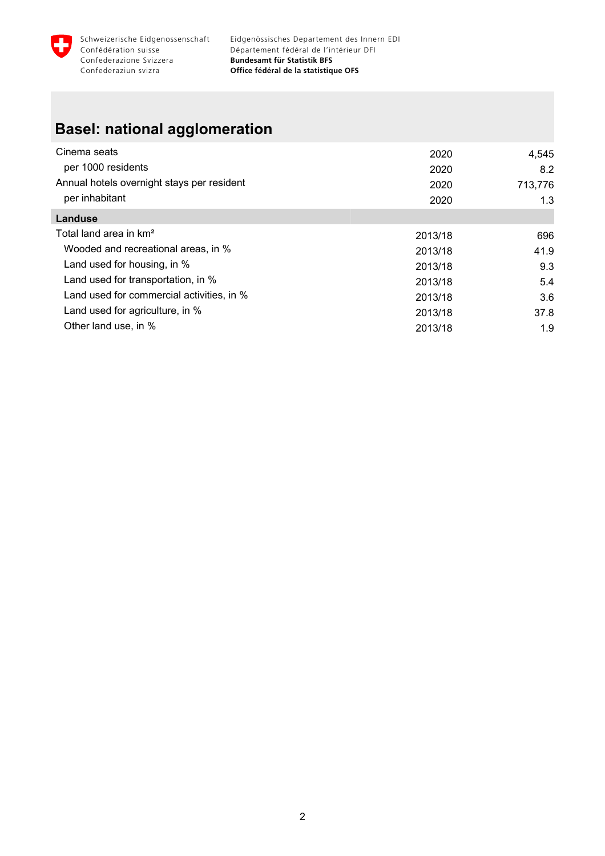

### **Basel: national agglomeration**

| Cinema seats                               | 2020    | 4,545   |
|--------------------------------------------|---------|---------|
| per 1000 residents                         | 2020    | 8.2     |
| Annual hotels overnight stays per resident | 2020    | 713,776 |
| per inhabitant                             | 2020    | 1.3     |
| Landuse                                    |         |         |
| Total land area in km <sup>2</sup>         | 2013/18 | 696     |
| Wooded and recreational areas, in %        | 2013/18 | 41.9    |
| Land used for housing, in %                | 2013/18 | 9.3     |
| Land used for transportation, in %         | 2013/18 | 5.4     |
| Land used for commercial activities, in %  | 2013/18 | 3.6     |
| Land used for agriculture, in %            | 2013/18 | 37.8    |
| Other land use, in %                       | 2013/18 | 1.9     |
|                                            |         |         |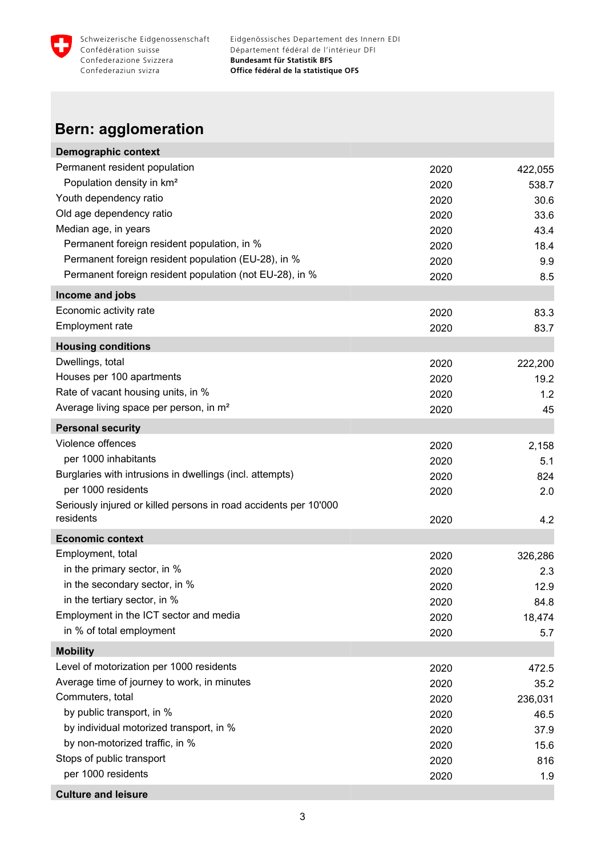<span id="page-4-0"></span>

### **Bern: agglomeration**

| <b>Demographic context</b>                                       |      |         |
|------------------------------------------------------------------|------|---------|
| Permanent resident population                                    | 2020 | 422,055 |
| Population density in km <sup>2</sup>                            | 2020 | 538.7   |
| Youth dependency ratio                                           | 2020 | 30.6    |
| Old age dependency ratio                                         | 2020 | 33.6    |
| Median age, in years                                             | 2020 | 43.4    |
| Permanent foreign resident population, in %                      | 2020 | 18.4    |
| Permanent foreign resident population (EU-28), in %              | 2020 | 9.9     |
| Permanent foreign resident population (not EU-28), in %          | 2020 | 8.5     |
| Income and jobs                                                  |      |         |
| Economic activity rate                                           | 2020 | 83.3    |
| Employment rate                                                  | 2020 | 83.7    |
| <b>Housing conditions</b>                                        |      |         |
| Dwellings, total                                                 | 2020 | 222,200 |
| Houses per 100 apartments                                        | 2020 | 19.2    |
| Rate of vacant housing units, in %                               | 2020 | 1.2     |
| Average living space per person, in m <sup>2</sup>               | 2020 | 45      |
| <b>Personal security</b>                                         |      |         |
| Violence offences                                                | 2020 | 2,158   |
| per 1000 inhabitants                                             | 2020 | 5.1     |
| Burglaries with intrusions in dwellings (incl. attempts)         | 2020 | 824     |
| per 1000 residents                                               | 2020 | 2.0     |
| Seriously injured or killed persons in road accidents per 10'000 |      |         |
| residents                                                        | 2020 | 4.2     |
| <b>Economic context</b>                                          |      |         |
| Employment, total                                                | 2020 | 326,286 |
| in the primary sector, in %                                      | 2020 | 2.3     |
| in the secondary sector, in %                                    | 2020 | 12.9    |
| in the tertiary sector, in %                                     | 2020 | 84.8    |
| Employment in the ICT sector and media                           | 2020 | 18,474  |
| in % of total employment                                         | 2020 | 5.7     |
| <b>Mobility</b>                                                  |      |         |
| Level of motorization per 1000 residents                         | 2020 | 472.5   |
| Average time of journey to work, in minutes                      | 2020 | 35.2    |
| Commuters, total                                                 | 2020 | 236,031 |
| by public transport, in %                                        | 2020 | 46.5    |
| by individual motorized transport, in %                          | 2020 | 37.9    |
| by non-motorized traffic, in %                                   | 2020 | 15.6    |
| Stops of public transport                                        | 2020 | 816     |
| per 1000 residents                                               | 2020 | 1.9     |
| <b>Culture and leisure</b>                                       |      |         |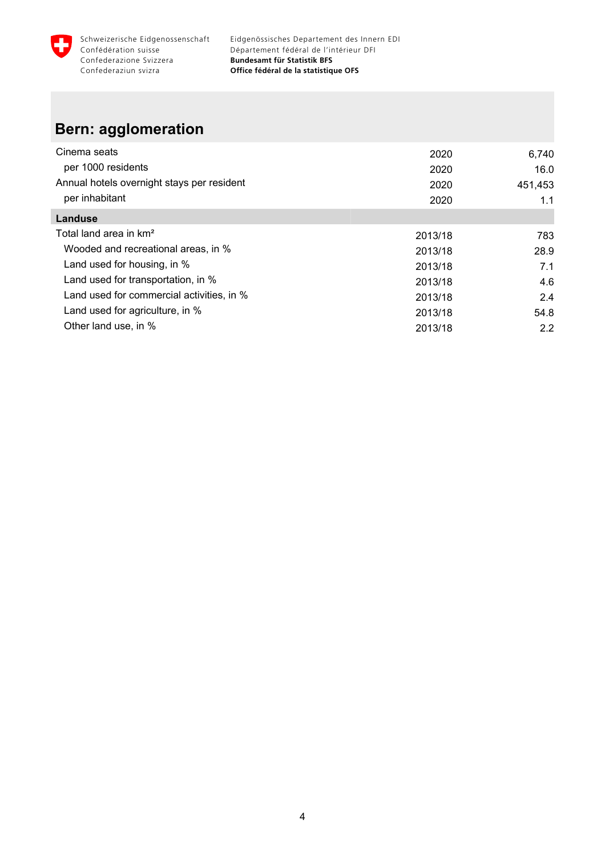

#### **Bern: agglomeration**

| Cinema seats                               | 2020    | 6,740   |
|--------------------------------------------|---------|---------|
| per 1000 residents                         | 2020    | 16.0    |
| Annual hotels overnight stays per resident | 2020    | 451,453 |
| per inhabitant                             | 2020    | 1.1     |
| Landuse                                    |         |         |
| Total land area in km <sup>2</sup>         | 2013/18 | 783     |
| Wooded and recreational areas, in %        | 2013/18 | 28.9    |
| Land used for housing, in %                | 2013/18 | 7.1     |
| Land used for transportation, in %         | 2013/18 | 4.6     |
| Land used for commercial activities, in %  | 2013/18 | 2.4     |
| Land used for agriculture, in %            | 2013/18 | 54.8    |
| Other land use, in %                       | 2013/18 | 2.2     |
|                                            |         |         |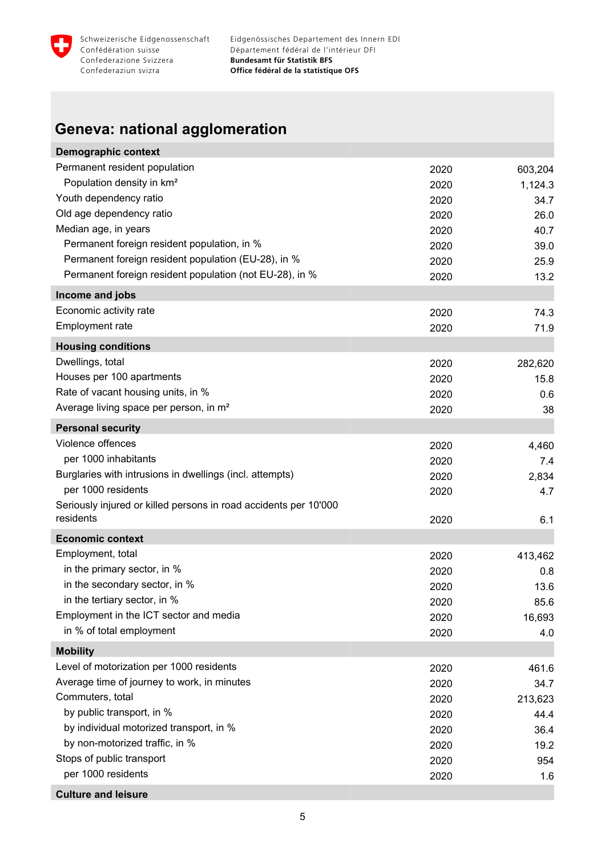<span id="page-6-0"></span>

### **Geneva: national agglomeration**

| <b>Demographic context</b>                                       |      |         |
|------------------------------------------------------------------|------|---------|
| Permanent resident population                                    | 2020 | 603,204 |
| Population density in km <sup>2</sup>                            | 2020 | 1,124.3 |
| Youth dependency ratio                                           | 2020 | 34.7    |
| Old age dependency ratio                                         | 2020 | 26.0    |
| Median age, in years                                             | 2020 | 40.7    |
| Permanent foreign resident population, in %                      | 2020 | 39.0    |
| Permanent foreign resident population (EU-28), in %              | 2020 | 25.9    |
| Permanent foreign resident population (not EU-28), in %          | 2020 | 13.2    |
| Income and jobs                                                  |      |         |
| Economic activity rate                                           | 2020 | 74.3    |
| Employment rate                                                  | 2020 | 71.9    |
| <b>Housing conditions</b>                                        |      |         |
| Dwellings, total                                                 | 2020 | 282,620 |
| Houses per 100 apartments                                        | 2020 | 15.8    |
| Rate of vacant housing units, in %                               | 2020 | 0.6     |
| Average living space per person, in m <sup>2</sup>               | 2020 | 38      |
| <b>Personal security</b>                                         |      |         |
| Violence offences                                                | 2020 | 4,460   |
| per 1000 inhabitants                                             | 2020 | 7.4     |
| Burglaries with intrusions in dwellings (incl. attempts)         | 2020 | 2,834   |
| per 1000 residents                                               | 2020 | 4.7     |
| Seriously injured or killed persons in road accidents per 10'000 |      |         |
| residents                                                        | 2020 | 6.1     |
| <b>Economic context</b>                                          |      |         |
| Employment, total                                                | 2020 | 413,462 |
| in the primary sector, in %                                      | 2020 | 0.8     |
| in the secondary sector, in %                                    | 2020 | 13.6    |
| in the tertiary sector, in %                                     | 2020 | 85.6    |
| Employment in the ICT sector and media                           | 2020 | 16,693  |
| in % of total employment                                         | 2020 | 4.0     |
| <b>Mobility</b>                                                  |      |         |
| Level of motorization per 1000 residents                         | 2020 | 461.6   |
| Average time of journey to work, in minutes                      | 2020 | 34.7    |
| Commuters, total                                                 | 2020 | 213,623 |
| by public transport, in %                                        | 2020 | 44.4    |
| by individual motorized transport, in %                          | 2020 | 36.4    |
| by non-motorized traffic, in %                                   | 2020 | 19.2    |
| Stops of public transport                                        | 2020 | 954     |
| per 1000 residents                                               | 2020 | 1.6     |
| <b>Culture and leisure</b>                                       |      |         |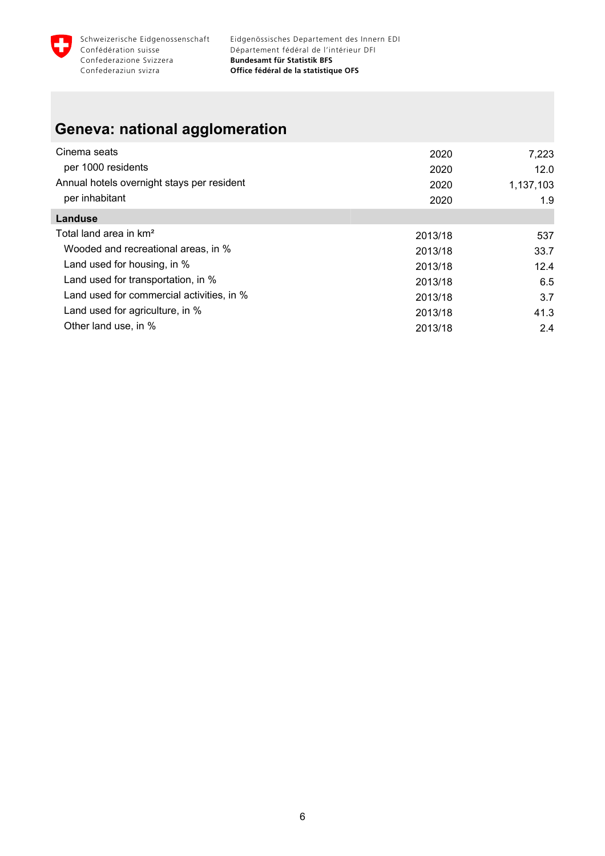

### **Geneva: national agglomeration**

| Cinema seats                               | 2020    | 7,223     |
|--------------------------------------------|---------|-----------|
| per 1000 residents                         | 2020    | 12.0      |
| Annual hotels overnight stays per resident | 2020    | 1,137,103 |
| per inhabitant                             | 2020    | 1.9       |
| Landuse                                    |         |           |
| Total land area in km <sup>2</sup>         | 2013/18 | 537       |
| Wooded and recreational areas, in %        | 2013/18 | 33.7      |
| Land used for housing, in %                | 2013/18 | 12.4      |
| Land used for transportation, in %         | 2013/18 | 6.5       |
| Land used for commercial activities, in %  | 2013/18 | 3.7       |
| Land used for agriculture, in %            | 2013/18 | 41.3      |
| Other land use, in %                       | 2013/18 | 2.4       |
|                                            |         |           |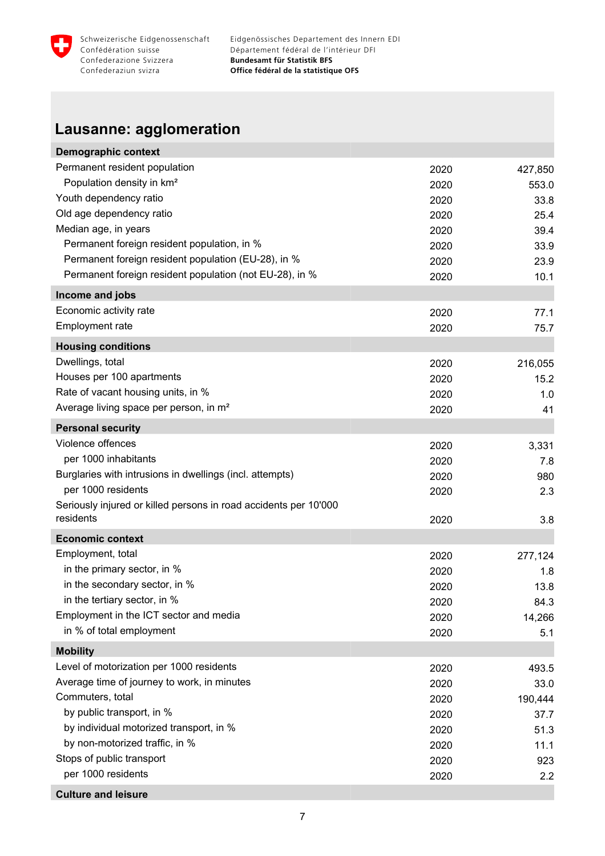<span id="page-8-0"></span>

### **Lausanne: agglomeration**

| <b>Demographic context</b>                                       |      |         |
|------------------------------------------------------------------|------|---------|
| Permanent resident population                                    | 2020 | 427,850 |
| Population density in km <sup>2</sup>                            | 2020 | 553.0   |
| Youth dependency ratio                                           | 2020 | 33.8    |
| Old age dependency ratio                                         | 2020 | 25.4    |
| Median age, in years                                             | 2020 | 39.4    |
| Permanent foreign resident population, in %                      | 2020 | 33.9    |
| Permanent foreign resident population (EU-28), in %              | 2020 | 23.9    |
| Permanent foreign resident population (not EU-28), in %          | 2020 | 10.1    |
| Income and jobs                                                  |      |         |
| Economic activity rate                                           | 2020 | 77.1    |
| Employment rate                                                  | 2020 | 75.7    |
| <b>Housing conditions</b>                                        |      |         |
| Dwellings, total                                                 | 2020 | 216,055 |
| Houses per 100 apartments                                        | 2020 | 15.2    |
| Rate of vacant housing units, in %                               | 2020 | 1.0     |
| Average living space per person, in m <sup>2</sup>               | 2020 | 41      |
| <b>Personal security</b>                                         |      |         |
| Violence offences                                                | 2020 | 3,331   |
| per 1000 inhabitants                                             | 2020 | 7.8     |
| Burglaries with intrusions in dwellings (incl. attempts)         | 2020 | 980     |
| per 1000 residents                                               | 2020 | 2.3     |
| Seriously injured or killed persons in road accidents per 10'000 |      |         |
| residents                                                        | 2020 | 3.8     |
| <b>Economic context</b>                                          |      |         |
| Employment, total                                                | 2020 | 277,124 |
| in the primary sector, in %                                      | 2020 | 1.8     |
| in the secondary sector, in %                                    | 2020 | 13.8    |
| in the tertiary sector, in %                                     | 2020 | 84.3    |
| Employment in the ICT sector and media                           | 2020 | 14,266  |
| in % of total employment                                         | 2020 | 5.1     |
| <b>Mobility</b>                                                  |      |         |
| Level of motorization per 1000 residents                         | 2020 | 493.5   |
| Average time of journey to work, in minutes                      | 2020 | 33.0    |
| Commuters, total                                                 | 2020 | 190,444 |
| by public transport, in %                                        | 2020 | 37.7    |
| by individual motorized transport, in %                          | 2020 | 51.3    |
| by non-motorized traffic, in %                                   | 2020 | 11.1    |
| Stops of public transport                                        | 2020 | 923     |
| per 1000 residents                                               | 2020 | 2.2     |
| <b>Culture and leisure</b>                                       |      |         |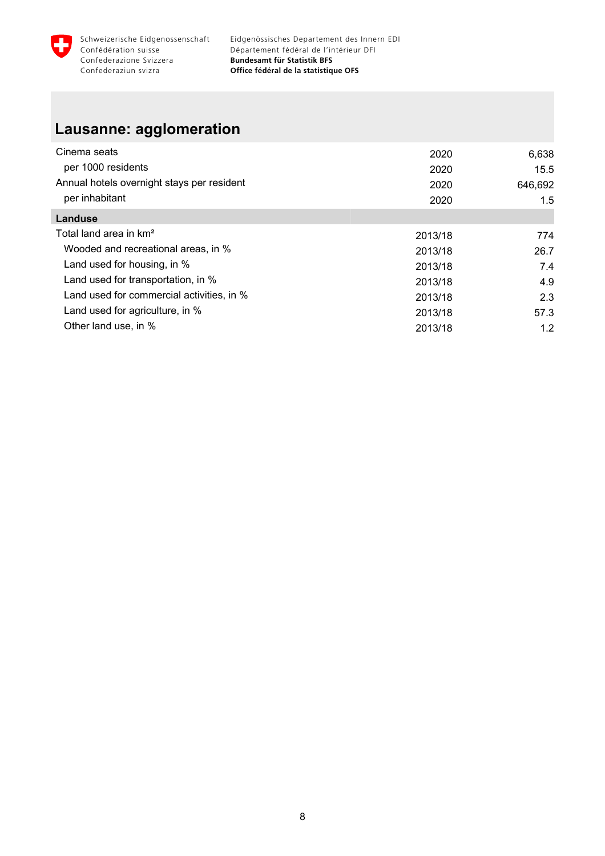

#### **Lausanne: agglomeration**

| Cinema seats                               | 2020    | 6,638   |
|--------------------------------------------|---------|---------|
| per 1000 residents                         | 2020    | 15.5    |
| Annual hotels overnight stays per resident | 2020    | 646,692 |
| per inhabitant                             | 2020    | 1.5     |
| Landuse                                    |         |         |
| Total land area in km <sup>2</sup>         | 2013/18 | 774     |
| Wooded and recreational areas, in %        | 2013/18 | 26.7    |
| Land used for housing, in %                | 2013/18 | 7.4     |
| Land used for transportation, in %         | 2013/18 | 4.9     |
| Land used for commercial activities, in %  | 2013/18 | 2.3     |
| Land used for agriculture, in %            | 2013/18 | 57.3    |
| Other land use, in %                       | 2013/18 | 1.2     |
|                                            |         |         |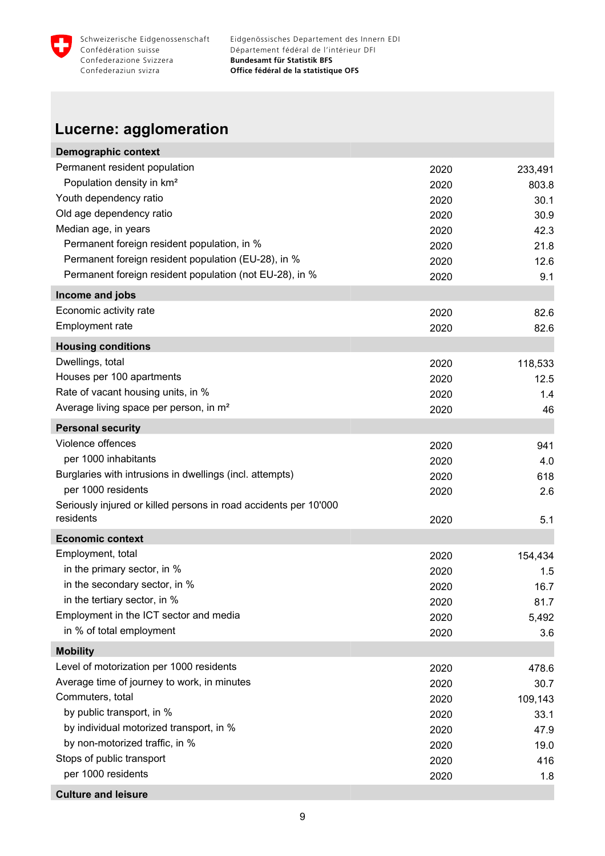<span id="page-10-0"></span>

### **Lucerne: agglomeration**

| <b>Demographic context</b>                                       |              |            |
|------------------------------------------------------------------|--------------|------------|
| Permanent resident population                                    | 2020         | 233,491    |
| Population density in km <sup>2</sup>                            | 2020         | 803.8      |
| Youth dependency ratio                                           | 2020         | 30.1       |
| Old age dependency ratio                                         | 2020         | 30.9       |
| Median age, in years                                             | 2020         | 42.3       |
| Permanent foreign resident population, in %                      | 2020         | 21.8       |
| Permanent foreign resident population (EU-28), in %              | 2020         | 12.6       |
| Permanent foreign resident population (not EU-28), in %          | 2020         | 9.1        |
| Income and jobs                                                  |              |            |
| Economic activity rate                                           | 2020         | 82.6       |
| Employment rate                                                  | 2020         | 82.6       |
| <b>Housing conditions</b>                                        |              |            |
| Dwellings, total                                                 | 2020         | 118,533    |
| Houses per 100 apartments                                        | 2020         | 12.5       |
| Rate of vacant housing units, in %                               | 2020         | 1.4        |
| Average living space per person, in m <sup>2</sup>               | 2020         | 46         |
| <b>Personal security</b>                                         |              |            |
| Violence offences                                                |              |            |
| per 1000 inhabitants                                             | 2020         | 941        |
| Burglaries with intrusions in dwellings (incl. attempts)         | 2020<br>2020 | 4.0<br>618 |
| per 1000 residents                                               | 2020         | 2.6        |
| Seriously injured or killed persons in road accidents per 10'000 |              |            |
| residents                                                        | 2020         | 5.1        |
| <b>Economic context</b>                                          |              |            |
| Employment, total                                                | 2020         | 154,434    |
| in the primary sector, in %                                      | 2020         | 1.5        |
| in the secondary sector, in %                                    | 2020         | 16.7       |
| in the tertiary sector, in %                                     | 2020         | 81.7       |
| Employment in the ICT sector and media                           | 2020         | 5,492      |
| in % of total employment                                         | 2020         | 3.6        |
| <b>Mobility</b>                                                  |              |            |
| Level of motorization per 1000 residents                         | 2020         | 478.6      |
| Average time of journey to work, in minutes                      | 2020         | 30.7       |
| Commuters, total                                                 | 2020         | 109,143    |
| by public transport, in %                                        | 2020         | 33.1       |
| by individual motorized transport, in %                          | 2020         | 47.9       |
| by non-motorized traffic, in %                                   | 2020         | 19.0       |
| Stops of public transport                                        | 2020         | 416        |
| per 1000 residents                                               | 2020         | 1.8        |
| <b>Culture and leisure</b>                                       |              |            |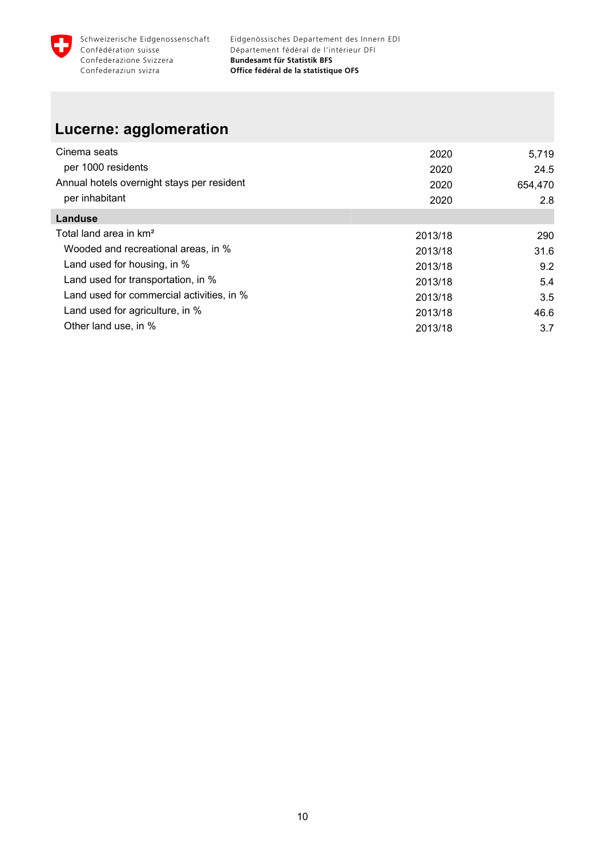

#### **Lucerne: agglomeration**

| Cinema seats                               | 2020    | 5,719   |
|--------------------------------------------|---------|---------|
| per 1000 residents                         | 2020    | 24.5    |
| Annual hotels overnight stays per resident | 2020    | 654,470 |
| per inhabitant                             | 2020    | 2.8     |
| Landuse                                    |         |         |
| Total land area in km <sup>2</sup>         | 2013/18 | 290     |
| Wooded and recreational areas, in %        | 2013/18 | 31.6    |
| Land used for housing, in %                | 2013/18 | 9.2     |
| Land used for transportation, in %         | 2013/18 | 5.4     |
| Land used for commercial activities, in %  | 2013/18 | 3.5     |
| Land used for agriculture, in %            | 2013/18 | 46.6    |
| Other land use, in %                       | 2013/18 | 3.7     |
|                                            |         |         |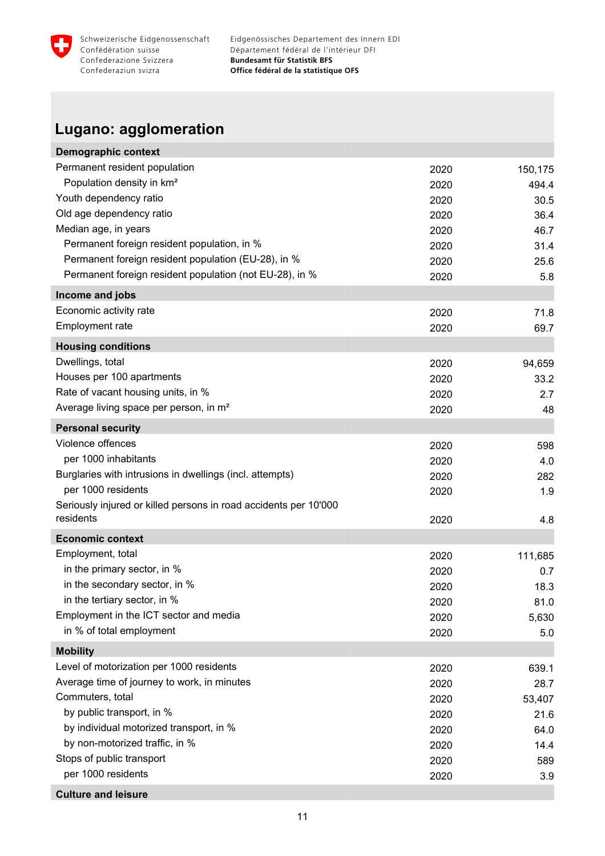<span id="page-12-0"></span>

### **Lugano: agglomeration**

| <b>Demographic context</b>                                       |      |         |
|------------------------------------------------------------------|------|---------|
| Permanent resident population                                    | 2020 | 150,175 |
| Population density in km <sup>2</sup>                            | 2020 | 494.4   |
| Youth dependency ratio                                           | 2020 | 30.5    |
| Old age dependency ratio                                         | 2020 | 36.4    |
| Median age, in years                                             | 2020 | 46.7    |
| Permanent foreign resident population, in %                      | 2020 | 31.4    |
| Permanent foreign resident population (EU-28), in %              | 2020 | 25.6    |
| Permanent foreign resident population (not EU-28), in %          | 2020 | 5.8     |
| Income and jobs                                                  |      |         |
| Economic activity rate                                           | 2020 | 71.8    |
| Employment rate                                                  | 2020 | 69.7    |
| <b>Housing conditions</b>                                        |      |         |
| Dwellings, total                                                 | 2020 | 94,659  |
| Houses per 100 apartments                                        | 2020 | 33.2    |
| Rate of vacant housing units, in %                               | 2020 | 2.7     |
| Average living space per person, in m <sup>2</sup>               | 2020 | 48      |
| <b>Personal security</b>                                         |      |         |
| Violence offences                                                | 2020 | 598     |
| per 1000 inhabitants                                             | 2020 | 4.0     |
| Burglaries with intrusions in dwellings (incl. attempts)         | 2020 | 282     |
| per 1000 residents                                               | 2020 | 1.9     |
| Seriously injured or killed persons in road accidents per 10'000 |      |         |
| residents                                                        | 2020 | 4.8     |
| <b>Economic context</b>                                          |      |         |
| Employment, total                                                | 2020 | 111,685 |
| in the primary sector, in %                                      | 2020 | 0.7     |
| in the secondary sector, in %                                    | 2020 | 18.3    |
| in the tertiary sector, in %                                     | 2020 | 81.0    |
| Employment in the ICT sector and media                           | 2020 | 5,630   |
| in % of total employment                                         | 2020 | 5.0     |
| <b>Mobility</b>                                                  |      |         |
| Level of motorization per 1000 residents                         | 2020 | 639.1   |
| Average time of journey to work, in minutes                      | 2020 | 28.7    |
| Commuters, total                                                 | 2020 | 53,407  |
| by public transport, in %                                        | 2020 | 21.6    |
| by individual motorized transport, in %                          | 2020 | 64.0    |
| by non-motorized traffic, in %                                   | 2020 | 14.4    |
| Stops of public transport                                        | 2020 | 589     |
| per 1000 residents                                               | 2020 | 3.9     |
| <b>Culture and leisure</b>                                       |      |         |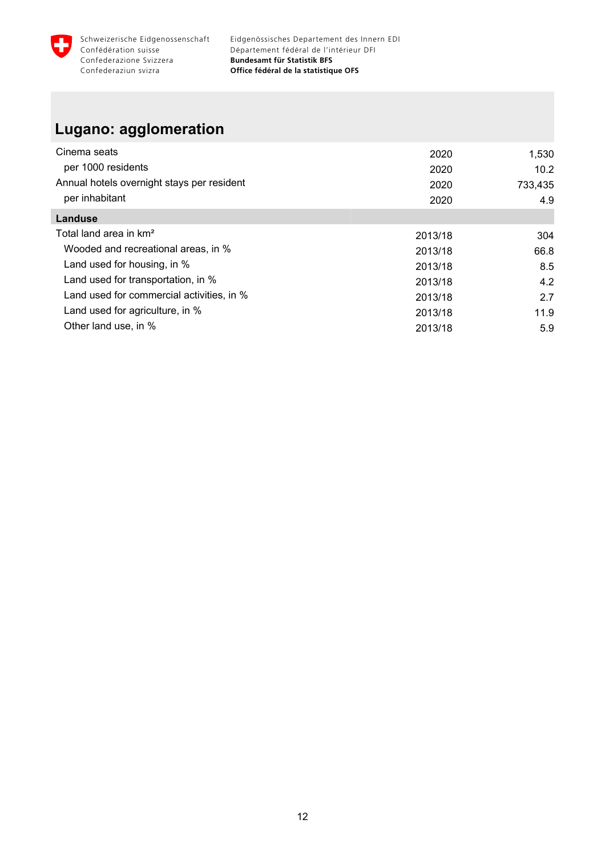

#### **Lugano: agglomeration**

| Cinema seats                               | 2020    | 1,530   |
|--------------------------------------------|---------|---------|
| per 1000 residents                         | 2020    | 10.2    |
| Annual hotels overnight stays per resident | 2020    | 733,435 |
| per inhabitant                             | 2020    | 4.9     |
| Landuse                                    |         |         |
| Total land area in km <sup>2</sup>         | 2013/18 | 304     |
| Wooded and recreational areas, in %        | 2013/18 | 66.8    |
| Land used for housing, in %                | 2013/18 | 8.5     |
| Land used for transportation, in %         | 2013/18 | 4.2     |
| Land used for commercial activities, in %  | 2013/18 | 2.7     |
| Land used for agriculture, in %            | 2013/18 | 11.9    |
| Other land use, in %                       | 2013/18 | 5.9     |
|                                            |         |         |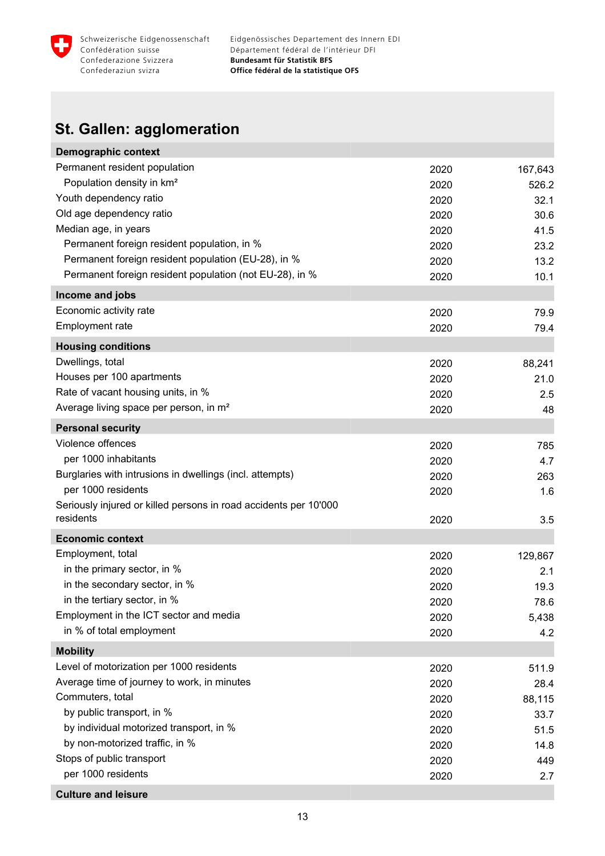<span id="page-14-0"></span>

### **St. Gallen: agglomeration**

| <b>Demographic context</b>                                       |      |         |
|------------------------------------------------------------------|------|---------|
| Permanent resident population                                    | 2020 | 167,643 |
| Population density in km <sup>2</sup>                            | 2020 | 526.2   |
| Youth dependency ratio                                           | 2020 | 32.1    |
| Old age dependency ratio                                         | 2020 | 30.6    |
| Median age, in years                                             | 2020 | 41.5    |
| Permanent foreign resident population, in %                      | 2020 | 23.2    |
| Permanent foreign resident population (EU-28), in %              | 2020 | 13.2    |
| Permanent foreign resident population (not EU-28), in %          | 2020 | 10.1    |
| Income and jobs                                                  |      |         |
| Economic activity rate                                           | 2020 | 79.9    |
| Employment rate                                                  | 2020 | 79.4    |
| <b>Housing conditions</b>                                        |      |         |
| Dwellings, total                                                 | 2020 | 88,241  |
| Houses per 100 apartments                                        | 2020 | 21.0    |
| Rate of vacant housing units, in %                               | 2020 | 2.5     |
| Average living space per person, in m <sup>2</sup>               | 2020 | 48      |
| <b>Personal security</b>                                         |      |         |
| Violence offences                                                | 2020 | 785     |
| per 1000 inhabitants                                             | 2020 | 4.7     |
| Burglaries with intrusions in dwellings (incl. attempts)         | 2020 | 263     |
| per 1000 residents                                               | 2020 | 1.6     |
| Seriously injured or killed persons in road accidents per 10'000 |      |         |
| residents                                                        | 2020 | 3.5     |
| <b>Economic context</b>                                          |      |         |
| Employment, total                                                | 2020 | 129,867 |
| in the primary sector, in %                                      | 2020 | 2.1     |
| in the secondary sector, in %                                    | 2020 | 19.3    |
| in the tertiary sector, in %                                     | 2020 | 78.6    |
| Employment in the ICT sector and media                           | 2020 | 5,438   |
| in % of total employment                                         | 2020 | 4.2     |
| <b>Mobility</b>                                                  |      |         |
| Level of motorization per 1000 residents                         | 2020 | 511.9   |
| Average time of journey to work, in minutes                      | 2020 | 28.4    |
| Commuters, total                                                 | 2020 | 88,115  |
| by public transport, in %                                        | 2020 | 33.7    |
| by individual motorized transport, in %                          | 2020 | 51.5    |
| by non-motorized traffic, in %                                   | 2020 | 14.8    |
| Stops of public transport                                        | 2020 | 449     |
| per 1000 residents                                               | 2020 | 2.7     |
| <b>Culture and leisure</b>                                       |      |         |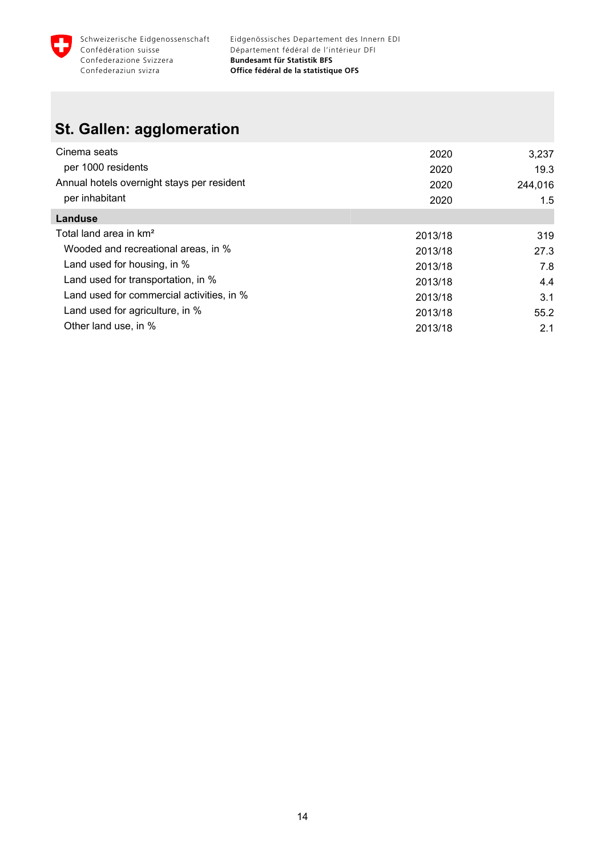

#### **St. Gallen: agglomeration**

| Cinema seats                               | 2020    | 3,237   |
|--------------------------------------------|---------|---------|
| per 1000 residents                         | 2020    | 19.3    |
| Annual hotels overnight stays per resident | 2020    | 244,016 |
| per inhabitant                             | 2020    | 1.5     |
| <b>Landuse</b>                             |         |         |
| Total land area in km <sup>2</sup>         | 2013/18 | 319     |
| Wooded and recreational areas, in %        | 2013/18 | 27.3    |
| Land used for housing, in %                | 2013/18 | 7.8     |
| Land used for transportation, in %         | 2013/18 | 4.4     |
| Land used for commercial activities, in %  | 2013/18 | 3.1     |
| Land used for agriculture, in %            | 2013/18 | 55.2    |
| Other land use, in %                       | 2013/18 | 2.1     |
|                                            |         |         |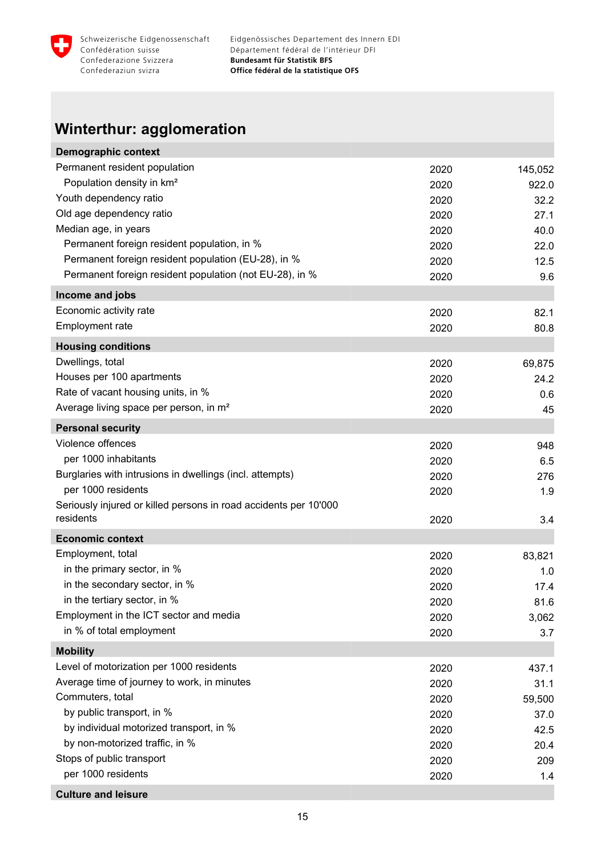<span id="page-16-0"></span>

## **Winterthur: agglomeration**

| <b>Demographic context</b>                                       |      |         |
|------------------------------------------------------------------|------|---------|
| Permanent resident population                                    | 2020 | 145,052 |
| Population density in km <sup>2</sup>                            | 2020 | 922.0   |
| Youth dependency ratio                                           | 2020 | 32.2    |
| Old age dependency ratio                                         | 2020 | 27.1    |
| Median age, in years                                             | 2020 | 40.0    |
| Permanent foreign resident population, in %                      | 2020 | 22.0    |
| Permanent foreign resident population (EU-28), in %              | 2020 | 12.5    |
| Permanent foreign resident population (not EU-28), in %          | 2020 | 9.6     |
| Income and jobs                                                  |      |         |
| Economic activity rate                                           | 2020 | 82.1    |
| Employment rate                                                  | 2020 | 80.8    |
| <b>Housing conditions</b>                                        |      |         |
| Dwellings, total                                                 | 2020 | 69,875  |
| Houses per 100 apartments                                        | 2020 | 24.2    |
| Rate of vacant housing units, in %                               | 2020 | 0.6     |
| Average living space per person, in m <sup>2</sup>               | 2020 | 45      |
| <b>Personal security</b>                                         |      |         |
| Violence offences                                                | 2020 | 948     |
| per 1000 inhabitants                                             | 2020 | 6.5     |
| Burglaries with intrusions in dwellings (incl. attempts)         | 2020 | 276     |
| per 1000 residents                                               | 2020 | 1.9     |
| Seriously injured or killed persons in road accidents per 10'000 |      |         |
| residents                                                        | 2020 | 3.4     |
| <b>Economic context</b>                                          |      |         |
| Employment, total                                                | 2020 | 83,821  |
| in the primary sector, in %                                      | 2020 | 1.0     |
| in the secondary sector, in %                                    | 2020 | 17.4    |
| in the tertiary sector, in %                                     | 2020 | 81.6    |
| Employment in the ICT sector and media                           | 2020 | 3,062   |
| in % of total employment                                         | 2020 | 3.7     |
| <b>Mobility</b>                                                  |      |         |
| Level of motorization per 1000 residents                         | 2020 | 437.1   |
| Average time of journey to work, in minutes                      | 2020 | 31.1    |
| Commuters, total                                                 | 2020 | 59,500  |
| by public transport, in %                                        | 2020 | 37.0    |
| by individual motorized transport, in %                          | 2020 | 42.5    |
| by non-motorized traffic, in %                                   | 2020 | 20.4    |
| Stops of public transport                                        | 2020 | 209     |
| per 1000 residents                                               | 2020 | 1.4     |
| <b>Culture and leisure</b>                                       |      |         |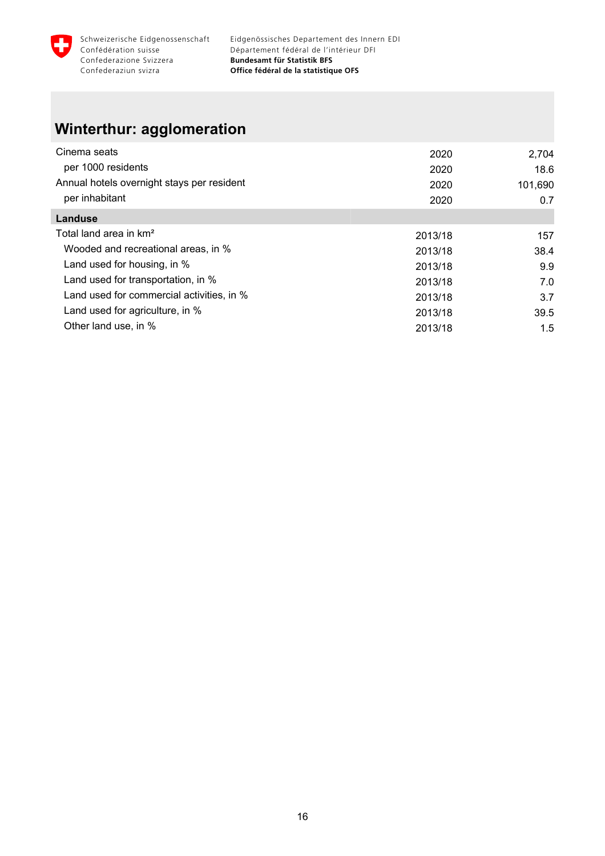

### **Winterthur: agglomeration**

| Cinema seats                               | 2020    | 2,704   |
|--------------------------------------------|---------|---------|
| per 1000 residents                         | 2020    | 18.6    |
| Annual hotels overnight stays per resident | 2020    | 101,690 |
| per inhabitant                             | 2020    | 0.7     |
| Landuse                                    |         |         |
| Total land area in km <sup>2</sup>         | 2013/18 | 157     |
| Wooded and recreational areas, in %        | 2013/18 | 38.4    |
| Land used for housing, in %                | 2013/18 | 9.9     |
| Land used for transportation, in %         | 2013/18 | 7.0     |
| Land used for commercial activities, in %  | 2013/18 | 3.7     |
| Land used for agriculture, in %            | 2013/18 | 39.5    |
| Other land use, in %                       | 2013/18 | 1.5     |
|                                            |         |         |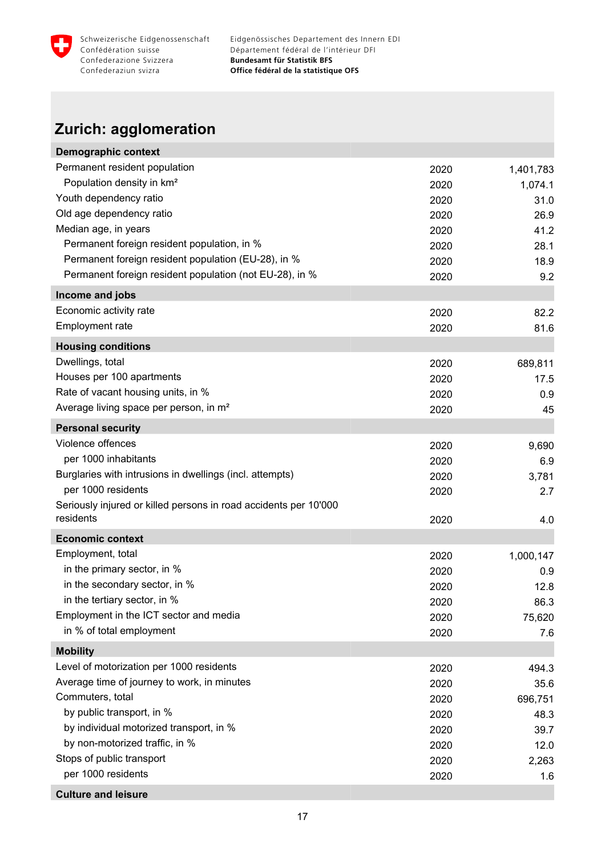<span id="page-18-0"></span>

### **Zurich: agglomeration**

| <b>Demographic context</b>                                       |      |           |
|------------------------------------------------------------------|------|-----------|
| Permanent resident population                                    | 2020 | 1,401,783 |
| Population density in km <sup>2</sup>                            | 2020 | 1,074.1   |
| Youth dependency ratio                                           | 2020 | 31.0      |
| Old age dependency ratio                                         | 2020 | 26.9      |
| Median age, in years                                             | 2020 | 41.2      |
| Permanent foreign resident population, in %                      | 2020 | 28.1      |
| Permanent foreign resident population (EU-28), in %              | 2020 | 18.9      |
| Permanent foreign resident population (not EU-28), in %          | 2020 | 9.2       |
| Income and jobs                                                  |      |           |
| Economic activity rate                                           | 2020 | 82.2      |
| Employment rate                                                  | 2020 | 81.6      |
| <b>Housing conditions</b>                                        |      |           |
| Dwellings, total                                                 | 2020 | 689,811   |
| Houses per 100 apartments                                        | 2020 | 17.5      |
| Rate of vacant housing units, in %                               | 2020 | 0.9       |
| Average living space per person, in m <sup>2</sup>               | 2020 | 45        |
| <b>Personal security</b>                                         |      |           |
| Violence offences                                                | 2020 | 9,690     |
| per 1000 inhabitants                                             | 2020 | 6.9       |
| Burglaries with intrusions in dwellings (incl. attempts)         | 2020 | 3,781     |
| per 1000 residents                                               | 2020 | 2.7       |
| Seriously injured or killed persons in road accidents per 10'000 |      |           |
| residents                                                        | 2020 | 4.0       |
| <b>Economic context</b>                                          |      |           |
| Employment, total                                                | 2020 | 1,000,147 |
| in the primary sector, in %                                      | 2020 | 0.9       |
| in the secondary sector, in %                                    | 2020 | 12.8      |
| in the tertiary sector, in %                                     | 2020 | 86.3      |
| Employment in the ICT sector and media                           | 2020 | 75,620    |
| in % of total employment                                         | 2020 | 7.6       |
| <b>Mobility</b>                                                  |      |           |
| Level of motorization per 1000 residents                         | 2020 | 494.3     |
| Average time of journey to work, in minutes                      | 2020 | 35.6      |
| Commuters, total                                                 | 2020 | 696,751   |
| by public transport, in %                                        | 2020 | 48.3      |
| by individual motorized transport, in %                          | 2020 | 39.7      |
| by non-motorized traffic, in %                                   | 2020 | 12.0      |
| Stops of public transport                                        | 2020 | 2,263     |
| per 1000 residents                                               | 2020 | 1.6       |
| <b>Culture and leisure</b>                                       |      |           |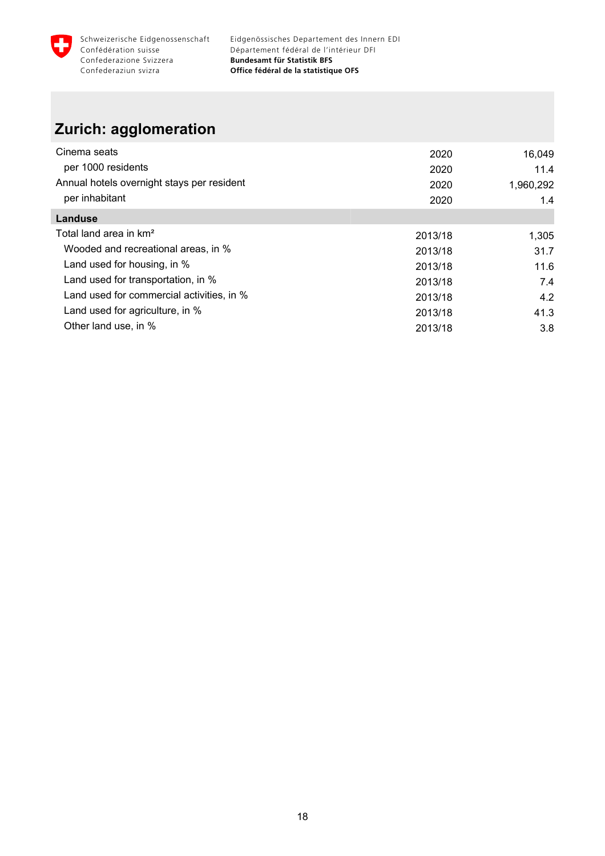

### **Zurich: agglomeration**

| Cinema seats                               | 2020    | 16,049    |
|--------------------------------------------|---------|-----------|
| per 1000 residents                         | 2020    | 11.4      |
| Annual hotels overnight stays per resident | 2020    | 1,960,292 |
| per inhabitant                             | 2020    | 1.4       |
| Landuse                                    |         |           |
| Total land area in km <sup>2</sup>         | 2013/18 | 1,305     |
| Wooded and recreational areas, in %        | 2013/18 | 31.7      |
| Land used for housing, in %                | 2013/18 | 11.6      |
| Land used for transportation, in %         | 2013/18 | 7.4       |
| Land used for commercial activities, in %  | 2013/18 | 4.2       |
| Land used for agriculture, in %            | 2013/18 | 41.3      |
| Other land use, in %                       | 2013/18 | 3.8       |
|                                            |         |           |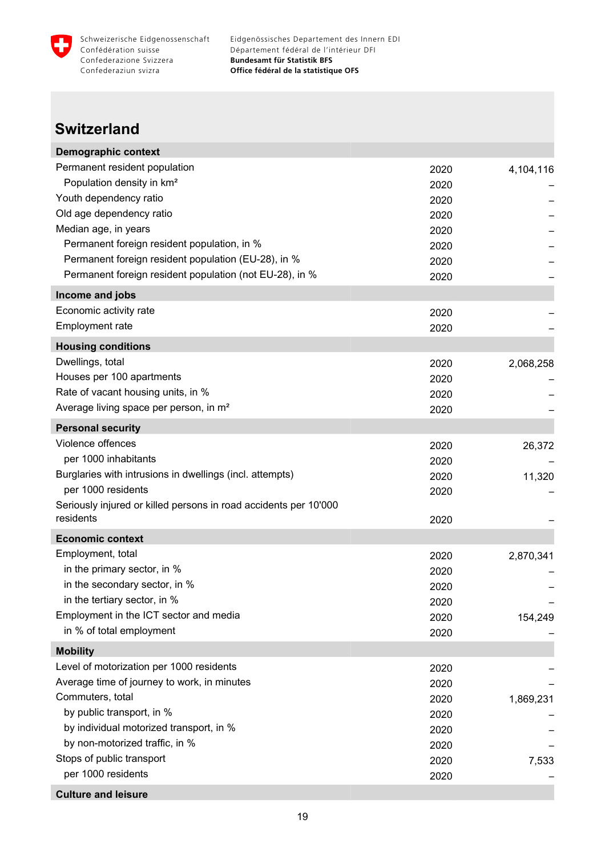<span id="page-20-0"></span>

#### **Switzerland**

| <b>Demographic context</b>                                       |              |           |
|------------------------------------------------------------------|--------------|-----------|
| Permanent resident population                                    | 2020         | 4,104,116 |
| Population density in km <sup>2</sup>                            | 2020         |           |
| Youth dependency ratio                                           | 2020         |           |
| Old age dependency ratio                                         | 2020         |           |
| Median age, in years                                             | 2020         |           |
| Permanent foreign resident population, in %                      | 2020         |           |
| Permanent foreign resident population (EU-28), in %              | 2020         |           |
| Permanent foreign resident population (not EU-28), in %          | 2020         |           |
| Income and jobs                                                  |              |           |
| Economic activity rate                                           | 2020         |           |
| Employment rate                                                  | 2020         |           |
| <b>Housing conditions</b>                                        |              |           |
| Dwellings, total                                                 | 2020         | 2,068,258 |
| Houses per 100 apartments                                        | 2020         |           |
| Rate of vacant housing units, in %                               | 2020         |           |
| Average living space per person, in m <sup>2</sup>               | 2020         |           |
| <b>Personal security</b>                                         |              |           |
| Violence offences                                                |              |           |
| per 1000 inhabitants                                             | 2020         | 26,372    |
| Burglaries with intrusions in dwellings (incl. attempts)         | 2020         |           |
| per 1000 residents                                               | 2020         | 11,320    |
| Seriously injured or killed persons in road accidents per 10'000 | 2020         |           |
| residents                                                        | 2020         |           |
| <b>Economic context</b>                                          |              |           |
| Employment, total                                                | 2020         | 2,870,341 |
| in the primary sector, in %                                      | 2020         |           |
| in the secondary sector, in %                                    | 2020         |           |
| in the tertiary sector, in %                                     | 2020         |           |
| Employment in the ICT sector and media                           |              | 154,249   |
| in % of total employment                                         | 2020<br>2020 |           |
|                                                                  |              |           |
| <b>Mobility</b><br>Level of motorization per 1000 residents      |              |           |
| Average time of journey to work, in minutes                      | 2020         |           |
| Commuters, total                                                 | 2020         |           |
| by public transport, in %                                        | 2020         | 1,869,231 |
| by individual motorized transport, in %                          | 2020         |           |
|                                                                  | 2020         |           |
| by non-motorized traffic, in %<br>Stops of public transport      | 2020         |           |
| per 1000 residents                                               | 2020         | 7,533     |
|                                                                  | 2020         |           |
| <b>Culture and leisure</b>                                       |              |           |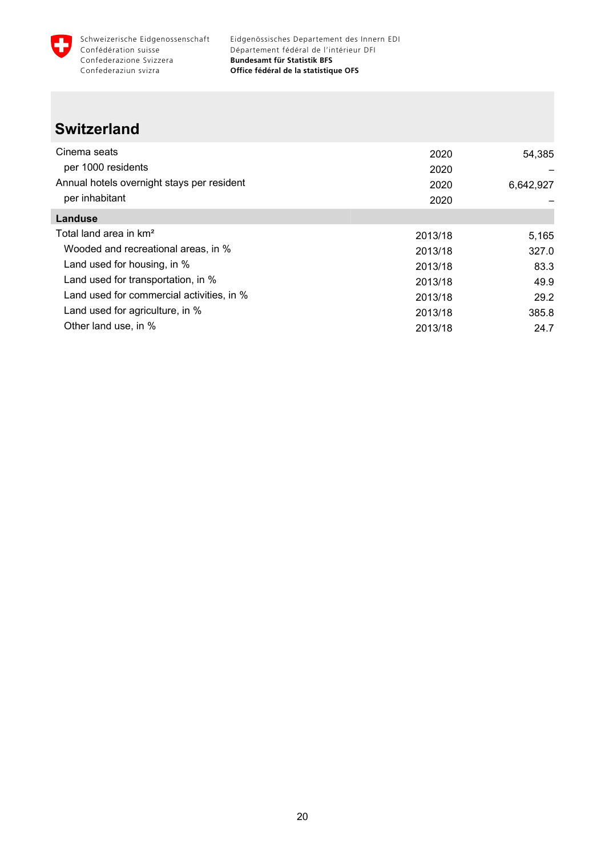

#### **Switzerland**

| Cinema seats                               | 2020    | 54,385    |
|--------------------------------------------|---------|-----------|
| per 1000 residents                         | 2020    |           |
| Annual hotels overnight stays per resident | 2020    | 6,642,927 |
| per inhabitant                             | 2020    |           |
| Landuse                                    |         |           |
| Total land area in km <sup>2</sup>         | 2013/18 | 5,165     |
| Wooded and recreational areas, in %        | 2013/18 | 327.0     |
| Land used for housing, in %                | 2013/18 | 83.3      |
| Land used for transportation, in %         | 2013/18 | 49.9      |
| Land used for commercial activities, in %  | 2013/18 | 29.2      |
| Land used for agriculture, in %            | 2013/18 | 385.8     |
| Other land use, in %                       | 2013/18 | 24.7      |
|                                            |         |           |